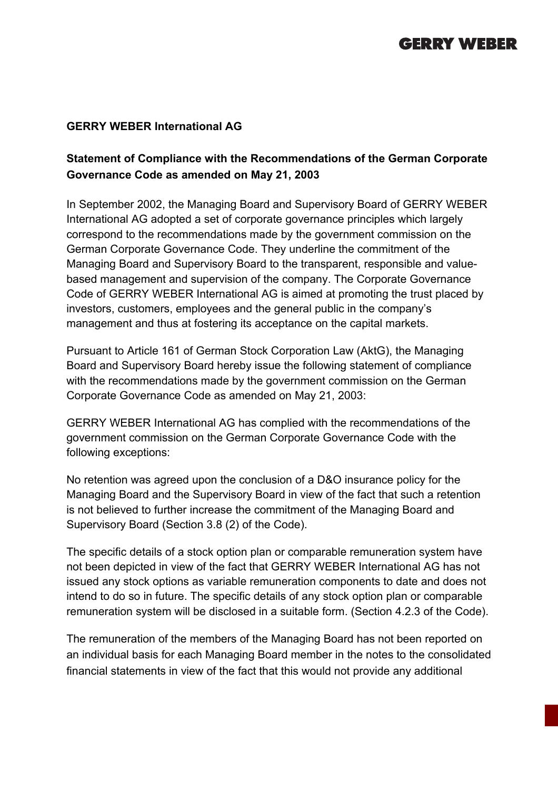# **GERRY WEBER**

#### **GERRY WEBER International AG**

### **Statement of Compliance with the Recommendations of the German Corporate Governance Code as amended on May 21, 2003**

In September 2002, the Managing Board and Supervisory Board of GERRY WEBER International AG adopted a set of corporate governance principles which largely correspond to the recommendations made by the government commission on the German Corporate Governance Code. They underline the commitment of the Managing Board and Supervisory Board to the transparent, responsible and valuebased management and supervision of the company. The Corporate Governance Code of GERRY WEBER International AG is aimed at promoting the trust placed by investors, customers, employees and the general public in the company's management and thus at fostering its acceptance on the capital markets.

Pursuant to Article 161 of German Stock Corporation Law (AktG), the Managing Board and Supervisory Board hereby issue the following statement of compliance with the recommendations made by the government commission on the German Corporate Governance Code as amended on May 21, 2003:

GERRY WEBER International AG has complied with the recommendations of the government commission on the German Corporate Governance Code with the following exceptions:

No retention was agreed upon the conclusion of a D&O insurance policy for the Managing Board and the Supervisory Board in view of the fact that such a retention is not believed to further increase the commitment of the Managing Board and Supervisory Board (Section 3.8 (2) of the Code).

The specific details of a stock option plan or comparable remuneration system have not been depicted in view of the fact that GERRY WEBER International AG has not issued any stock options as variable remuneration components to date and does not intend to do so in future. The specific details of any stock option plan or comparable remuneration system will be disclosed in a suitable form. (Section 4.2.3 of the Code).

The remuneration of the members of the Managing Board has not been reported on an individual basis for each Managing Board member in the notes to the consolidated financial statements in view of the fact that this would not provide any additional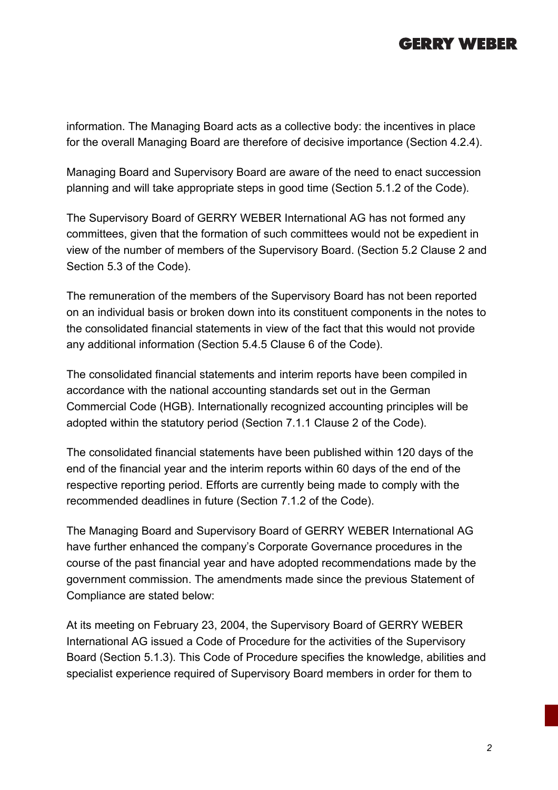## **GERRY WEBER**

information. The Managing Board acts as a collective body: the incentives in place for the overall Managing Board are therefore of decisive importance (Section 4.2.4).

Managing Board and Supervisory Board are aware of the need to enact succession planning and will take appropriate steps in good time (Section 5.1.2 of the Code).

The Supervisory Board of GERRY WEBER International AG has not formed any committees, given that the formation of such committees would not be expedient in view of the number of members of the Supervisory Board. (Section 5.2 Clause 2 and Section 5.3 of the Code).

The remuneration of the members of the Supervisory Board has not been reported on an individual basis or broken down into its constituent components in the notes to the consolidated financial statements in view of the fact that this would not provide any additional information (Section 5.4.5 Clause 6 of the Code).

The consolidated financial statements and interim reports have been compiled in accordance with the national accounting standards set out in the German Commercial Code (HGB). Internationally recognized accounting principles will be adopted within the statutory period (Section 7.1.1 Clause 2 of the Code).

The consolidated financial statements have been published within 120 days of the end of the financial year and the interim reports within 60 days of the end of the respective reporting period. Efforts are currently being made to comply with the recommended deadlines in future (Section 7.1.2 of the Code).

The Managing Board and Supervisory Board of GERRY WEBER International AG have further enhanced the company's Corporate Governance procedures in the course of the past financial year and have adopted recommendations made by the government commission. The amendments made since the previous Statement of Compliance are stated below:

At its meeting on February 23, 2004, the Supervisory Board of GERRY WEBER International AG issued a Code of Procedure for the activities of the Supervisory Board (Section 5.1.3). This Code of Procedure specifies the knowledge, abilities and specialist experience required of Supervisory Board members in order for them to